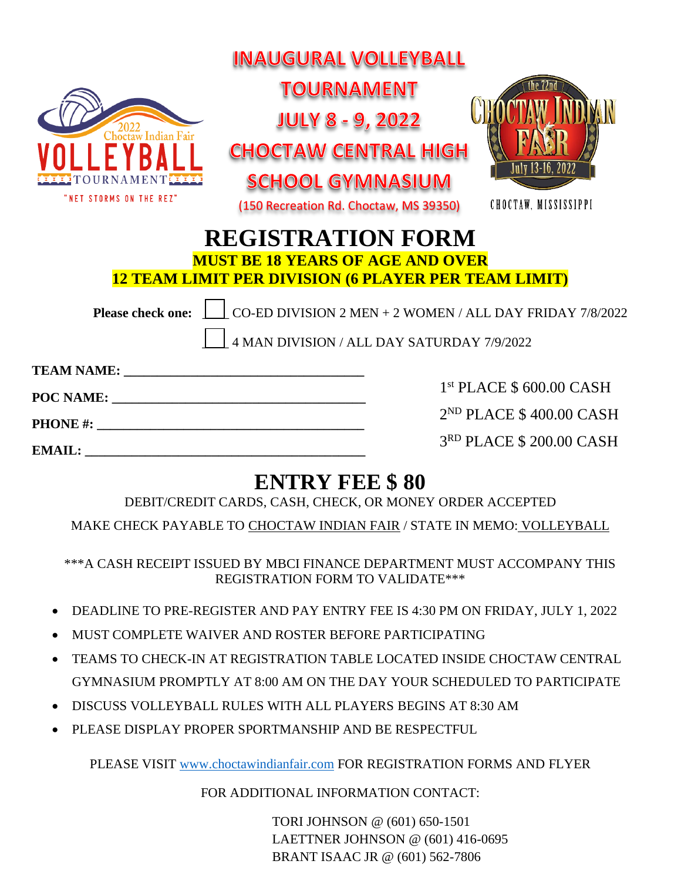|                                                             | <b>INAUGURAL VOLLEYBALL</b>                |  |                                                          |  |  |  |  |
|-------------------------------------------------------------|--------------------------------------------|--|----------------------------------------------------------|--|--|--|--|
|                                                             | <b>TOURNAMENT</b>                          |  |                                                          |  |  |  |  |
| Choctaw Indian Fair                                         | <b>JULY 8 - 9, 2022</b>                    |  |                                                          |  |  |  |  |
|                                                             | <b>CHOCTAW CENTRAL HIGH</b>                |  |                                                          |  |  |  |  |
| <b>EXTOURNAMENT</b>                                         | <b>SCHOOL GYMNASIUM</b>                    |  | July 13-16, 2022                                         |  |  |  |  |
| "NET STORMS ON THE REZ"                                     | (150 Recreation Rd. Choctaw, MS 39350)     |  | CHOCTAW, MISSISSIPPI                                     |  |  |  |  |
| <b>REGISTRATION FORM</b>                                    |                                            |  |                                                          |  |  |  |  |
| <b>MUST BE 18 YEARS OF AGE AND OVER</b>                     |                                            |  |                                                          |  |  |  |  |
| <b>12 TEAM LIMIT PER DIVISION (6 PLAYER PER TEAM LIMIT)</b> |                                            |  |                                                          |  |  |  |  |
| Please check one:                                           |                                            |  | CO-ED DIVISION 2 MEN + 2 WOMEN / ALL DAY FRIDAY 7/8/2022 |  |  |  |  |
|                                                             | 4 MAN DIVISION / ALL DAY SATURDAY 7/9/2022 |  |                                                          |  |  |  |  |
|                                                             |                                            |  |                                                          |  |  |  |  |
|                                                             |                                            |  | 1 <sup>st</sup> PLACE \$ 600.00 CASH                     |  |  |  |  |
|                                                             |                                            |  | $2^{ND}$ PLACE \$400.00 CASH                             |  |  |  |  |
|                                                             |                                            |  | 3 <sup>RD</sup> PLACE \$ 200.00 CASH                     |  |  |  |  |
|                                                             |                                            |  |                                                          |  |  |  |  |

## **ENTRY FEE \$ 80**

DEBIT/CREDIT CARDS, CASH, CHECK, OR MONEY ORDER ACCEPTED

MAKE CHECK PAYABLE TO CHOCTAW INDIAN FAIR / STATE IN MEMO: VOLLEYBALL

\*\*\*A CASH RECEIPT ISSUED BY MBCI FINANCE DEPARTMENT MUST ACCOMPANY THIS REGISTRATION FORM TO VALIDATE\*\*\*

- DEADLINE TO PRE-REGISTER AND PAY ENTRY FEE IS 4:30 PM ON FRIDAY, JULY 1, 2022
- MUST COMPLETE WAIVER AND ROSTER BEFORE PARTICIPATING
- TEAMS TO CHECK-IN AT REGISTRATION TABLE LOCATED INSIDE CHOCTAW CENTRAL GYMNASIUM PROMPTLY AT 8:00 AM ON THE DAY YOUR SCHEDULED TO PARTICIPATE
- DISCUSS VOLLEYBALL RULES WITH ALL PLAYERS BEGINS AT 8:30 AM
- PLEASE DISPLAY PROPER SPORTMANSHIP AND BE RESPECTFUL

PLEASE VISIT www.choctawindianfair.com FOR REGISTRATION FORMS AND FLYER

FOR ADDITIONAL INFORMATION CONTACT:

TORI JOHNSON @ (601) 650-1501 LAETTNER JOHNSON @ (601) 416-0695 BRANT ISAAC JR @ (601) 562-7806